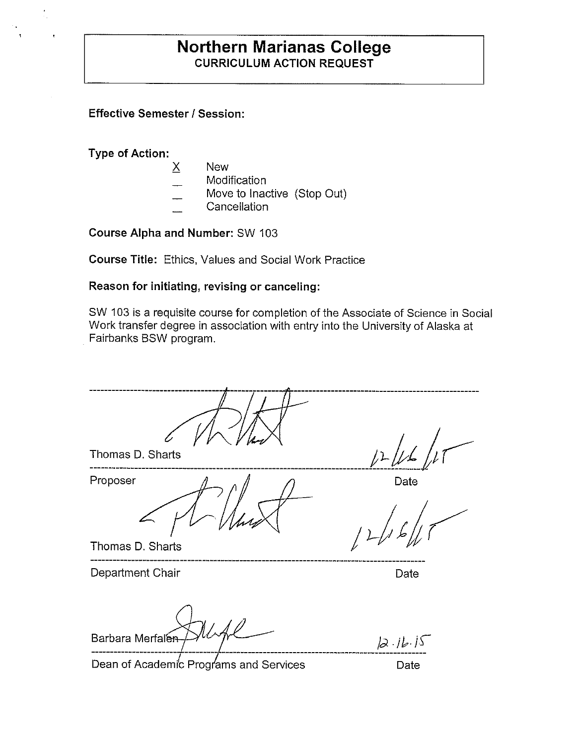# **Northern Marianas College CURRICULUM ACTION REQUEST**

**Effective Semester/ Session:** 

**Type of Action:** 

- X New
- **Modification**
- Move to Inactive (Stop Out)
- **Cancellation**

**Course Alpha and Number:** SW 103

**Course Title:** Ethics, Values and Social Work Practice

#### **Reason for initiating, revising or canceling:**

SW 103 is a requisite course for completion of the Associate of Science in Social Work transfer degree in association with entry into the University of Alaska at Fairbanks BSW program.

Thomas D. Sharts Proposer  $\Lambda$   $\Lambda$   $\Lambda$ Thomas D. Sharts Department Chair **Department Chair** Barbara Merfalen  $2.16.15$ Dean of Academic Programs and Services Date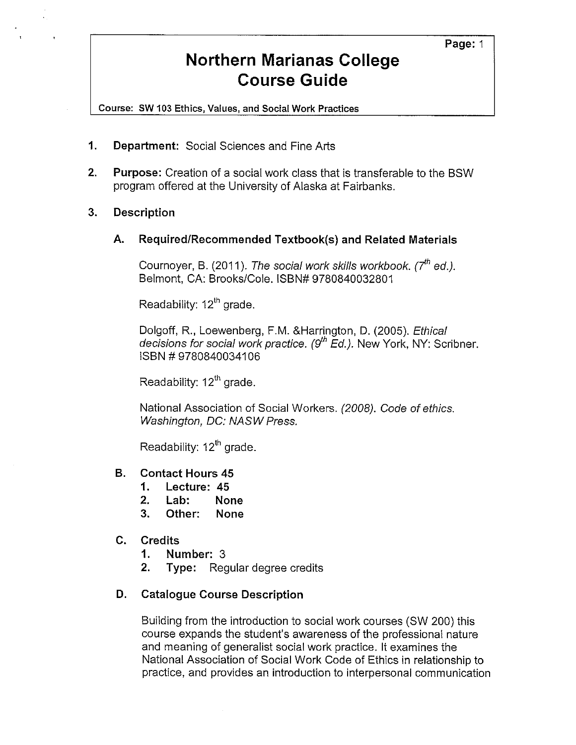# **Northern Marianas College Course Guide**

Course: SW 103 Ethics, Values, and Social Work Practices

- **1. Department:** Social Sciences and Fine Arts
- **2. Purpose:** Creation of a social work class that is transferable to the BSW program offered at the University of Alaska at Fairbanks.
- **3. Description** 
	- **A. Required/Recommended Textbook(s) and Related Materials**

Cournoyer, B. (2011). The social work skills workbook.  $7^{th}$  ed.). Belmont, CA: Brooks/Cole. ISBN# 9780840032801

Readability:  $12<sup>th</sup>$  grade.

Dolgoff, R., Loewenberg, F.M. &Harrington, D. (2005). Ethical decisions for social work practice.  $(9^{th}$  Ed.). New York, NY: Scribner. ISBN# 9780840034106

Readability:  $12<sup>th</sup>$  grade.

National Association of Social Workers. (2008). Code of ethics. Washington, DC: NASW Press.

Readability:  $12<sup>th</sup>$  grade.

- **B. Contact Hours 45** 
	- **1. Lecture: 45**
	- **2. Lab: None**
	- **3. Other: None**
- **C. Credits** 
	- **1. Number:** 3
	- **2. Type:** Regular degree credits

## **D. Catalogue Course Description**

Building from the introduction to social work courses (SW 200) this course expands the student's awareness of the professional nature and meaning of generalist social work practice. It examines the National Association of Social Work Code of Ethics in relationship to practice, and provides an introduction to interpersonal communication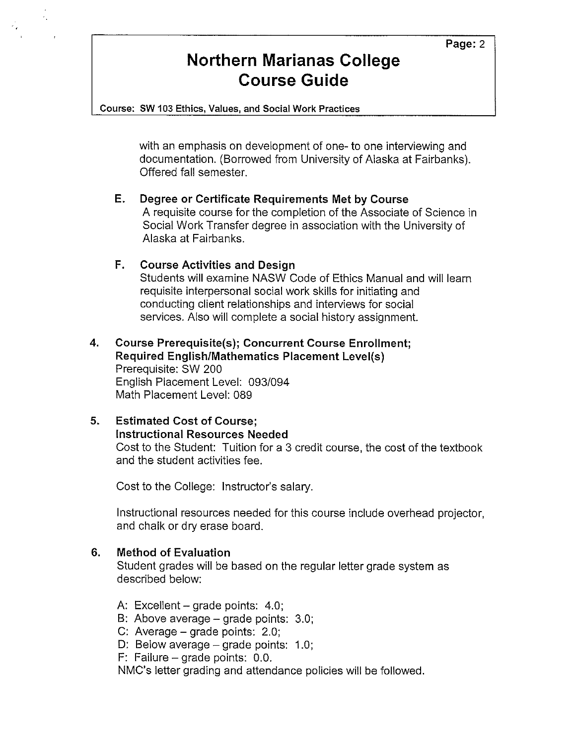# **Northern Marianas College Course Guide**

Course: **SW** 103 Ethics, Values, and Social Work Practices

with an emphasis on development of one- to one interviewing and documentation. (Borrowed from University of Alaska at Fairbanks). Offered fall semester.

## **E. Degree or Certificate Requirements Met by Course**

A requisite course for the completion of the Associate of Science in Social Work Transfer degree in association with the University of Alaska at Fairbanks.

## **F. Course Activities and Design**

Students will examine NASW Code of Ethics Manual and will learn requisite interpersonal social work skills for initiating and conducting client relationships and interviews for social services. Also will complete a social history assignment.

#### **4. Course Prerequisite(s); Concurrent Course Enrollment; Required English/Mathematics Placement Level(s)**  Prerequisite: SW 200 English Placement Level: 093/094 Math Placement Level: 089

# **5. Estimated Cost of Course; Instructional Resources Needed**  Cost to the Student: Tuition for a 3 credit course, the cost of the textbook and the student activities fee.

Cost to the College: Instructor's salary.

Instructional resources needed for this course include overhead projector, and chalk or dry erase board.

## **6. Method of Evaluation**

Student grades will be based on the regular letter grade system as described below:

- A: Excellent grade points: 4.0;
- B: Above average grade points: 3.0;
- C: Average grade points: 2.0;
- D: Below average grade points: 1.0;

F: Failure  $-$  grade points: 0.0.

NMC's letter grading and attendance policies will be followed.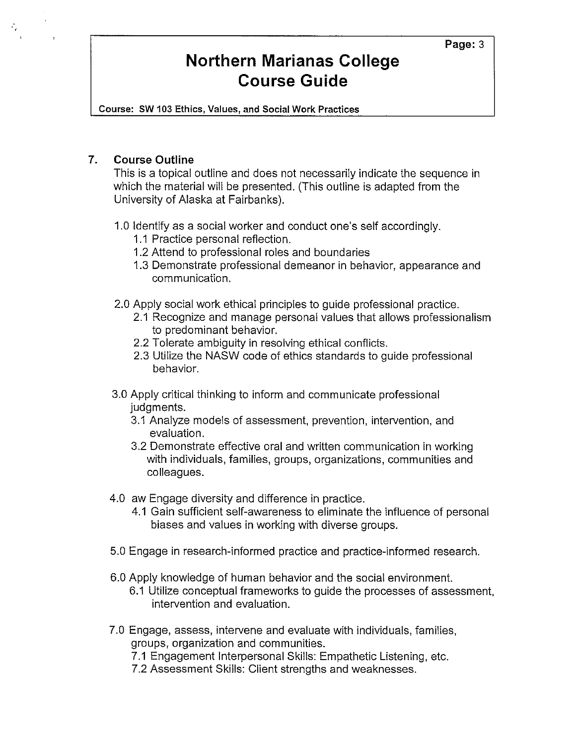#### Page: 3

# **Northern Marianas College Course Guide**

Course: SW 103 Ethics, Values, and Social Work Practices

#### **7. Course Outline**

This is a topical outline and does not necessarily indicate the sequence in which the material will be presented. (This outline is adapted from the University of Alaska at Fairbanks).

#### 1.0 Identify as a social worker and conduct one's self accordingly.

- 1.1 Practice personal reflection.
- 1.2 Attend to professional roles and boundaries
- 1.3 Demonstrate professional demeanor in behavior, appearance and communication.
- 2.0 Apply social work ethical principles to guide professional practice.
	- 2.1 Recognize and manage personal values that allows professionalism to predominant behavior.
	- 2.2 Tolerate ambiguity in resolving ethical conflicts.
	- 2.3 Utilize the NASW code of ethics standards to guide professional behavior.
- 3.0 Apply critical thinking to inform and communicate professional judgments.
	- 3.1 Analyze models of assessment, prevention, intervention, and evaluation.
	- 3.2 Demonstrate effective oral and written communication in working with individuals, families, groups, organizations, communities and colleagues.
- 4.0 aw Engage diversity and difference in practice.
	- 4.1 Gain sufficient self-awareness to eliminate the influence of personal biases and values in working with diverse groups.
- 5.0 Engage in research-informed practice and practice-informed research.
- 6.0 Apply knowledge of human behavior and the social environment.
	- 6.1 Utilize conceptual frameworks to guide the processes of assessment, intervention and evaluation.
- 7.0 Engage, assess, intervene and evaluate with individuals, families, groups, organization and communities.
	- 7.1 Engagement Interpersonal Skills: Empathetic Listening, etc.
	- 7.2 Assessment Skills: Client strengths and weaknesses.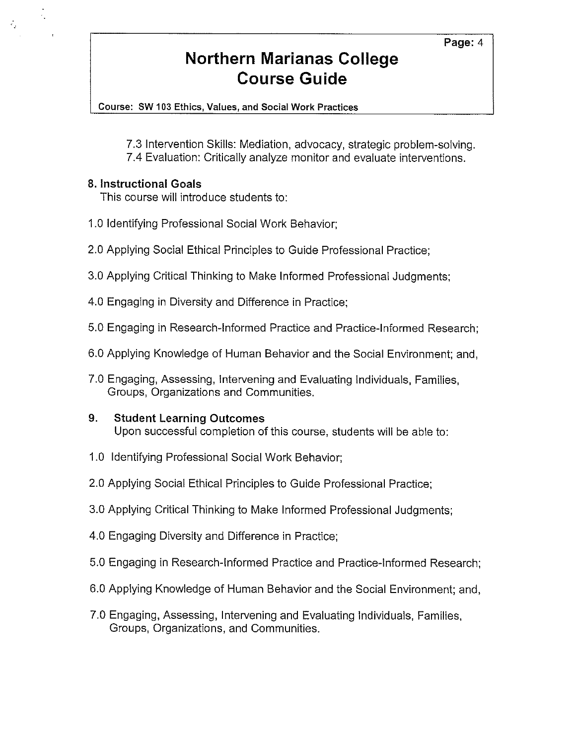### Page: 4

# **Northern Marianas College Course Guide**

Course: SW 103 Ethics, Values, and Social Work Practices

7.3 Intervention Skills: Mediation, advocacy, strategic problem-solving. 7.4 Evaluation: Critically analyze monitor and evaluate interventions.

## **8. Instructional Goals**

 $\mathcal{F}_\mathbf{a}$ 

47

This course will introduce students to:

- 1.0 Identifying Professional Social Work Behavior;
- 2.0 Applying Social Ethical Principles to Guide Professional Practice;
- 3.0 Applying Critical Thinking to Make Informed Professional Judgments;
- 4.0 Engaging in Diversity and Difference in Practice;
- 5.0 Engaging in Research-Informed Practice and Practice-Informed Research;
- 6.0 Applying Knowledge of Human Behavior and the Social Environment; and,
- 7.0 Engaging, Assessing, Intervening and Evaluating Individuals, Families, Groups, Organizations and Communities.

## **9. Student Learning Outcomes**

Upon successful completion of this course, students will be able to:

- 1.0 Identifying Professional Social Work Behavior;
- 2.0 Applying Social Ethical Principles to Guide Professional Practice;
- 3.0 Applying Critical Thinking to Make Informed Professional Judgments;
- 4.0 Engaging Diversity and Difference in Practice;
- 5.0 Engaging in Research-Informed Practice and Practice-Informed Research;
- 6.0 Applying Knowledge of Human Behavior and the Social Environment; and,
- 7.0 Engaging, Assessing, Intervening and Evaluating Individuals, Families, Groups, Organizations, and Communities.